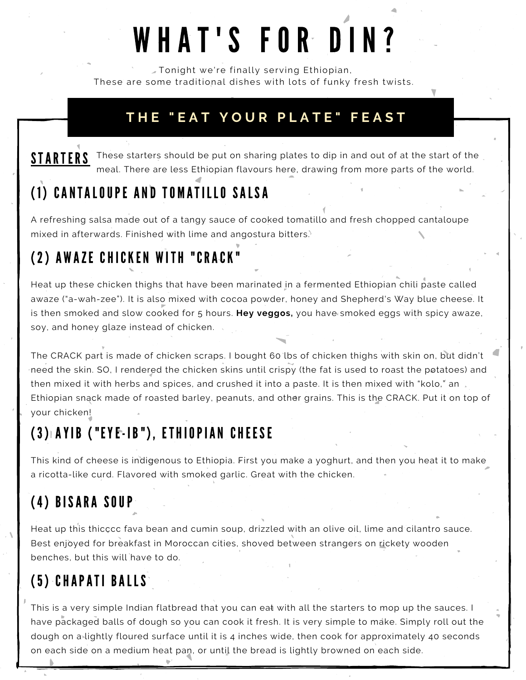# WHAT'S FOR DIN?

Tonight we're finally serving Ethiopian, These are some traditional dishes with lots of funky fresh twists.

#### **T H E " E A T Y O U R P L A T E " F E A S T**

#### STARTERS These starters should be put on sharing plates to dip in and out of at the start of the meal. There are less Ethiopian flavours here, drawing from more parts of the world.

# ( 1 ) CANTALOUPE AND TO M ATILLO SALSA

A refreshing salsa made out of a tangy sauce of cooked tomatillo and fresh chopped cantaloupe mixed in afterwards. Finished with lime and angostura bitters.

## (2) A W AZE CHICKEN W ITH "CRACK"

Heat up these chicken thighs that have been marinated in a fermented Ethiopian chili paste called awaze ("a-wah-zee"). It is also mixed with cocoa powder, honey and Shepherd's Way blue cheese. It is then smoked and slow cooked for 5 hours. **Hey veggos,** you have smoked eggs with spicy awaze, soy, and honey glaze instead of chicken.

The CRACK part is made of chicken scraps. I bought 60 lbs of chicken thighs with skin on, but didn't need the skin. SO, I rendered the chicken skins until crispy (the fat is used to roast the potatoes) and then mixed it with herbs and spices, and crushed it into a paste. It is then mixed with "kolo," an Ethiopian snack made of roasted barley, peanuts, and other grains. This is the CRACK. Put it on top of your chicken!

## (3) AYIB ( "EYE- IB" ) , ETHIOPIAN CHEESE

This kind of cheese is indigenous to Ethiopia. First you make a yoghurt, and then you heat it to make a ricotta-like curd. Flavored with smoked garlic. Great with the chicken.

## (4) BISARA SOUP

Heat up this thicccc fava bean and cumin soup, drizzled with an olive oil, lime and cilantro sauce. Best enjoyed for breakfast in Moroccan cities, shoved between strangers on rickety wooden benches, but this will have to do.

#### (5) CHAPATI BALLS

This is a very simple Indian flatbread that you can eat with all the starters to mop up the sauces. I have packaged balls of dough so you can cook it fresh. It is very simple to make. Simply roll out the dough on a lightly floured surface until it is 4 inches wide, then cook for approximately 40 seconds on each side on a medium heat pan, or until the bread is lightly browned on each side.